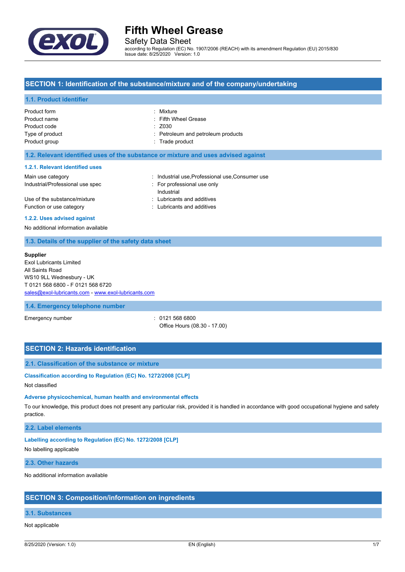

Safety Data Sheet

according to Regulation (EC) No. 1907/2006 (REACH) with its amendment Regulation (EU) 2015/830 Issue date: 8/25/2020 Version: 1.0

### **SECTION 1: Identification of the substance/mixture and of the company/undertaking**

#### **1.1. Product identifier**

| Product form    | : Mixture                          |
|-----------------|------------------------------------|
| Product name    | : Fifth Wheel Grease               |
| Product code    | $:$ Z030                           |
| Type of product | : Petroleum and petroleum products |
| Product group   | : Trade product                    |
|                 |                                    |

#### **1.2. Relevant identified uses of the substance or mixture and uses advised against**

#### **1.2.1. Relevant identified uses**

| Main use category                |            | : Industrial use Professional use Consumer use |
|----------------------------------|------------|------------------------------------------------|
| Industrial/Professional use spec |            | For professional use only                      |
|                                  | Industrial |                                                |
| Use of the substance/mixture     |            | : Lubricants and additives                     |
| Function or use category         |            | : Lubricants and additives                     |
|                                  |            |                                                |

#### **1.2.2. Uses advised against**

No additional information available

### **1.3. Details of the supplier of the safety data sheet**

#### **Supplier**

Exol Lubricants Limited All Saints Road WS10 9LL Wednesbury - UK T 0121 568 6800 - F 0121 568 6720 [sales@exol-lubricants.com](mailto:sales@exol-lubricants.com) - <www.exol-lubricants.com>

#### **1.4. Emergency telephone number**

Emergency number : 0121 568 6800 Office Hours (08.30 - 17.00)

# **SECTION 2: Hazards identification**

#### **2.1. Classification of the substance or mixture**

#### **Classification according to Regulation (EC) No. 1272/2008 [CLP]**

Not classified

#### **Adverse physicochemical, human health and environmental effects**

To our knowledge, this product does not present any particular risk, provided it is handled in accordance with good occupational hygiene and safety practice.

#### **2.2. Label elements**

#### **Labelling according to Regulation (EC) No. 1272/2008 [CLP]**

No labelling applicable

#### **2.3. Other hazards**

No additional information available

#### **SECTION 3: Composition/information on ingredients**

# **3.1. Substances**

### Not applicable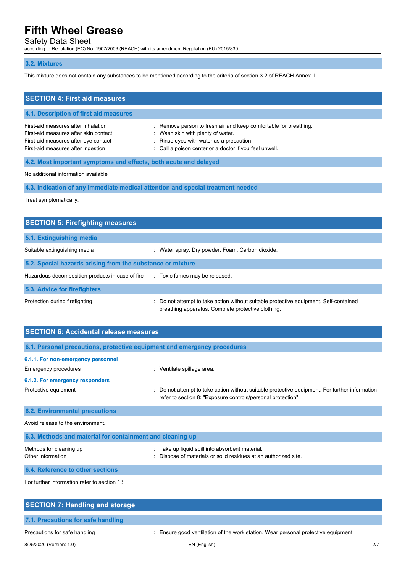# Safety Data Sheet

according to Regulation (EC) No. 1907/2006 (REACH) with its amendment Regulation (EU) 2015/830

### **3.2. Mixtures**

This mixture does not contain any substances to be mentioned according to the criteria of section 3.2 of REACH Annex II

| <b>SECTION 4: First aid measures</b>                                                                                                                       |                                                                                                                                                                                                             |
|------------------------------------------------------------------------------------------------------------------------------------------------------------|-------------------------------------------------------------------------------------------------------------------------------------------------------------------------------------------------------------|
| 4.1. Description of first aid measures                                                                                                                     |                                                                                                                                                                                                             |
| First-aid measures after inhalation<br>First-aid measures after skin contact<br>First-aid measures after eye contact<br>First-aid measures after ingestion | : Remove person to fresh air and keep comfortable for breathing.<br>: Wash skin with plenty of water.<br>: Rinse eyes with water as a precaution.<br>: Call a poison center or a doctor if you feel unwell. |
| 4.2. Most important symptoms and effects, both acute and delayed                                                                                           |                                                                                                                                                                                                             |

No additional information available

**4.3. Indication of any immediate medical attention and special treatment needed**

Treat symptomatically.

| <b>SECTION 5: Firefighting measures</b>                    |                                                                                                                                             |
|------------------------------------------------------------|---------------------------------------------------------------------------------------------------------------------------------------------|
| 5.1. Extinguishing media                                   |                                                                                                                                             |
| Suitable extinguishing media                               | : Water spray. Dry powder. Foam. Carbon dioxide.                                                                                            |
| 5.2. Special hazards arising from the substance or mixture |                                                                                                                                             |
| Hazardous decomposition products in case of fire           | : Toxic fumes may be released.                                                                                                              |
| 5.3. Advice for firefighters                               |                                                                                                                                             |
| Protection during firefighting                             | : Do not attempt to take action without suitable protective equipment. Self-contained<br>breathing apparatus. Complete protective clothing. |

| <b>SECTION 6: Accidental release measures</b>                            |                                                                                                                                                              |
|--------------------------------------------------------------------------|--------------------------------------------------------------------------------------------------------------------------------------------------------------|
| 6.1. Personal precautions, protective equipment and emergency procedures |                                                                                                                                                              |
| 6.1.1. For non-emergency personnel<br>Emergency procedures               | : Ventilate spillage area.                                                                                                                                   |
| 6.1.2. For emergency responders                                          |                                                                                                                                                              |
| Protective equipment                                                     | Do not attempt to take action without suitable protective equipment. For further information<br>refer to section 8: "Exposure controls/personal protection". |
| <b>6.2. Environmental precautions</b>                                    |                                                                                                                                                              |
| Avoid release to the environment.                                        |                                                                                                                                                              |
| 6.3. Methods and material for containment and cleaning up                |                                                                                                                                                              |
| Methods for cleaning up<br>Other information                             | : Take up liquid spill into absorbent material.<br>Dispose of materials or solid residues at an authorized site.                                             |
| 6.4. Reference to other sections                                         |                                                                                                                                                              |
| $\Gamma$ and function in the case of the constant for a set of $\alpha$  |                                                                                                                                                              |

For further information refer to section 13.

| <b>SECTION 7: Handling and storage</b> |                                                                                    |     |
|----------------------------------------|------------------------------------------------------------------------------------|-----|
| 7.1. Precautions for safe handling     |                                                                                    |     |
| Precautions for safe handling          | : Ensure good ventilation of the work station. Wear personal protective equipment. |     |
| 8/25/2020 (Version: 1.0)               | EN (English)                                                                       | 2/7 |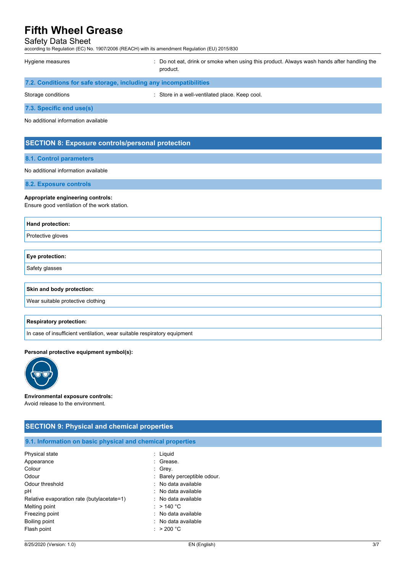#### Safety Data Sheet

according to Regulation (EC) No. 1907/2006 (REACH) with its amendment Regulation (EU) 2015/830

| Hygiene measures                                                  | : Do not eat, drink or smoke when using this product. Always wash hands after handling the<br>product. |
|-------------------------------------------------------------------|--------------------------------------------------------------------------------------------------------|
| 7.2. Conditions for safe storage, including any incompatibilities |                                                                                                        |

| Storage conditions | : Store in a well-ventilated place. Keep cool. |
|--------------------|------------------------------------------------|
|                    |                                                |

**7.3. Specific end use(s)**

No additional information available

### **SECTION 8: Exposure controls/personal protection**

#### **8.1. Control parameters**

#### No additional information available

**8.2. Exposure controls**

#### **Appropriate engineering controls:**

Ensure good ventilation of the work station.

| <b>Hand protection:</b>   |
|---------------------------|
| Protective gloves         |
|                           |
| <b>Eye protection:</b>    |
| Safety glasses            |
|                           |
| Skin and body protection: |

Wear suitable protective clothing

#### **Respiratory protection:**

In case of insufficient ventilation, wear suitable respiratory equipment

#### **Personal protective equipment symbol(s):**



#### **Environmental exposure controls:** Avoid release to the environment.

# **SECTION 9: Physical and chemical properties 9.1. Information on basic physical and chemical properties** Physical state : Liquid Appearance : Grease. Colour : Grey. Odour : Barely perceptible odour. Odour threshold **Download COLLEGE 1.1 COLLEGE 1.1 COLLEGE 1.1 COLLEGE 1.1 COLLEGE 1.1 COLLEGE 1.1 COLLEGE 1.1 COLLEGE 1.1 COLLEGE 1.1 COLLEGE 1.1 COLLEGE 1.1 COLLEGE 1.1 COLLEGE 1.1 COLLEGE 1.1 COLLEGE 1.1 COLLEGE 1.1 CO** pH : No data available Relative evaporation rate (butylacetate=1) : No data available Melting point  $\qquad \qquad : \qquad$  > 140 °C Freezing point **in the case of the case of the case of the case of the case of the case of the case of the case of the case of the case of the case of the case of the case of the case of the case of the case of the case of** Boiling point **in the case of the case of the case of the case of the case of the case of the case of the case of the case of the case of the case of the case of the case of the case of the case of the case of the case of** Flash point : > 200 °C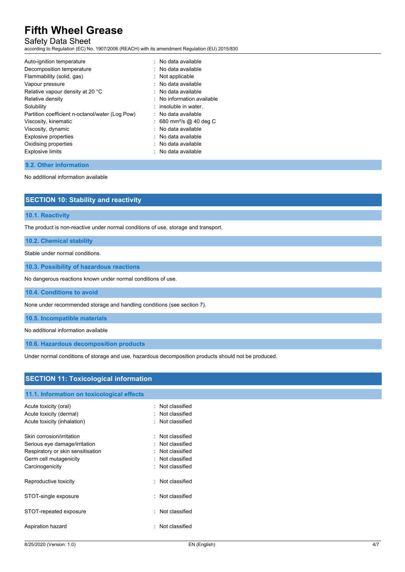# Safety Data Sheet

according to Regulation (EC) No. 1907/2006 (REACH) with its amendment Regulation (EU) 2015/830

| Auto-ignition temperature                       | $:$ No data available               |
|-------------------------------------------------|-------------------------------------|
| Decomposition temperature                       | : No data available                 |
| Flammability (solid, gas)                       | $:$ Not applicable                  |
| Vapour pressure                                 | . No data available                 |
| Relative vapour density at 20 °C                | $:$ No data available               |
| Relative density                                | : No information available          |
| Solubility                                      | $:$ insoluble in water.             |
| Partition coefficient n-octanol/water (Log Pow) | $:$ No data available               |
| Viscosity, kinematic                            | : 680 mm <sup>2</sup> /s @ 40 deg C |
| Viscosity, dynamic                              | : No data available                 |
| <b>Explosive properties</b>                     | : No data available                 |
| Oxidising properties                            | $:$ No data available               |
| <b>Explosive limits</b>                         | $:$ No data available               |
|                                                 |                                     |

#### **9.2. Other information**

No additional information available

|  | <b>SECTION 10: Stability and reactivity</b> |
|--|---------------------------------------------|
|  |                                             |

#### **10.1. Reactivity**

The product is non-reactive under normal conditions of use, storage and transport.

### **10.2. Chemical stability**

Stable under normal conditions.

**10.3. Possibility of hazardous reactions**

No dangerous reactions known under normal conditions of use.

**10.4. Conditions to avoid**

None under recommended storage and handling conditions (see section 7).

**10.5. Incompatible materials**

No additional information available

**10.6. Hazardous decomposition products**

Under normal conditions of storage and use, hazardous decomposition products should not be produced.

| <b>SECTION 11: Toxicological information</b> |                             |  |  |
|----------------------------------------------|-----------------------------|--|--|
| 11.1. Information on toxicological effects   |                             |  |  |
| Acute toxicity (oral)                        | : Not classified            |  |  |
| Acute toxicity (dermal)                      | : Not classified            |  |  |
| Acute toxicity (inhalation)                  | : Not classified            |  |  |
| Skin corrosion/irritation                    | : Not classified            |  |  |
| Serious eye damage/irritation                | : Not classified            |  |  |
| Respiratory or skin sensitisation            | : Not classified            |  |  |
| Germ cell mutagenicity                       | : Not classified            |  |  |
| Carcinogenicity                              | : Not classified            |  |  |
| Reproductive toxicity                        | Not classified<br>$\bullet$ |  |  |
| STOT-single exposure                         | : Not classified            |  |  |
| STOT-repeated exposure                       | Not classified<br>$\bullet$ |  |  |
| Aspiration hazard                            | Not classified<br>٠         |  |  |
|                                              |                             |  |  |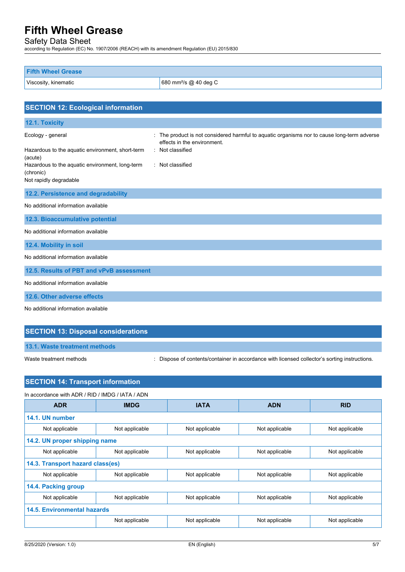Safety Data Sheet

according to Regulation (EC) No. 1907/2006 (REACH) with its amendment Regulation (EU) 2015/830

| <b>Fifth Wheel Grease</b> |                                   |
|---------------------------|-----------------------------------|
| Viscosity, kinematic      | 680 mm <sup>2</sup> /s @ 40 deg C |

| <b>SECTION 12: Ecological information</b>                                                                                                                                  |                                                                                                                                                                  |
|----------------------------------------------------------------------------------------------------------------------------------------------------------------------------|------------------------------------------------------------------------------------------------------------------------------------------------------------------|
| 12.1. Toxicity                                                                                                                                                             |                                                                                                                                                                  |
| Ecology - general<br>Hazardous to the aquatic environment, short-term<br>(acute)<br>Hazardous to the aquatic environment, long-term<br>(chronic)<br>Not rapidly degradable | The product is not considered harmful to aquatic organisms nor to cause long-term adverse<br>effects in the environment.<br>: Not classified<br>: Not classified |
| 12.2. Persistence and degradability                                                                                                                                        |                                                                                                                                                                  |
| No additional information available                                                                                                                                        |                                                                                                                                                                  |
| 12.3. Bioaccumulative potential                                                                                                                                            |                                                                                                                                                                  |
| No additional information available                                                                                                                                        |                                                                                                                                                                  |
| 12.4. Mobility in soil                                                                                                                                                     |                                                                                                                                                                  |
| No additional information available                                                                                                                                        |                                                                                                                                                                  |
| 12.5. Results of PBT and vPvB assessment                                                                                                                                   |                                                                                                                                                                  |
| No additional information available                                                                                                                                        |                                                                                                                                                                  |
| 12.6. Other adverse effects                                                                                                                                                |                                                                                                                                                                  |
| No additional information available                                                                                                                                        |                                                                                                                                                                  |

# **SECTION 13: Disposal considerations**

**13.1. Waste treatment methods**

Waste treatment methods : Dispose of contents/container in accordance with licensed collector's sorting instructions.

# **SECTION 14: Transport information**

| In accordance with ADR / RID / IMDG / IATA / ADN |                |                |                |                |
|--------------------------------------------------|----------------|----------------|----------------|----------------|
| <b>ADR</b>                                       | <b>IMDG</b>    | <b>IATA</b>    | <b>ADN</b>     | <b>RID</b>     |
| 14.1. UN number                                  |                |                |                |                |
| Not applicable                                   | Not applicable | Not applicable | Not applicable | Not applicable |
| 14.2. UN proper shipping name                    |                |                |                |                |
| Not applicable                                   | Not applicable | Not applicable | Not applicable | Not applicable |
| 14.3. Transport hazard class(es)                 |                |                |                |                |
| Not applicable                                   | Not applicable | Not applicable | Not applicable | Not applicable |
| 14.4. Packing group                              |                |                |                |                |
| Not applicable                                   | Not applicable | Not applicable | Not applicable | Not applicable |
| <b>14.5. Environmental hazards</b>               |                |                |                |                |
|                                                  | Not applicable | Not applicable | Not applicable | Not applicable |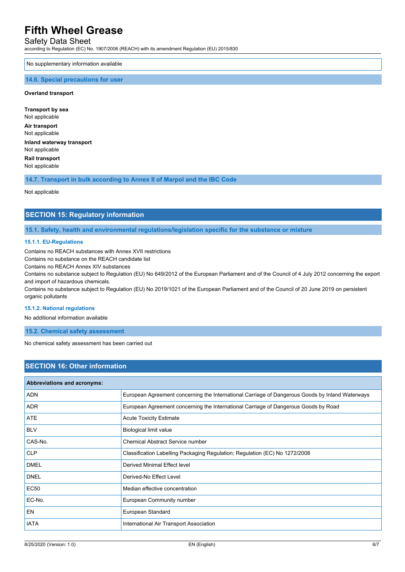## Safety Data Sheet

according to Regulation (EC) No. 1907/2006 (REACH) with its amendment Regulation (EU) 2015/830

No supplementary information available

#### **14.6. Special precautions for user**

#### **Overland transport**

**Transport by sea** Not applicable **Air transport** Not applicable **Inland waterway transport** Not applicable **Rail transport** Not applicable

**14.7. Transport in bulk according to Annex II of Marpol and the IBC Code**

Not applicable

## **SECTION 15: Regulatory information**

**15.1. Safety, health and environmental regulations/legislation specific for the substance or mixture**

#### **15.1.1. EU-Regulations**

Contains no REACH substances with Annex XVII restrictions

Contains no substance on the REACH candidate list

Contains no REACH Annex XIV substances

Contains no substance subject to Regulation (EU) No 649/2012 of the European Parliament and of the Council of 4 July 2012 concerning the export and import of hazardous chemicals.

Contains no substance subject to Regulation (EU) No 2019/1021 of the European Parliament and of the Council of 20 June 2019 on persistent organic pollutants

#### **15.1.2. National regulations**

No additional information available

**15.2. Chemical safety assessment**

No chemical safety assessment has been carried out

# **SECTION 16: Other information**

| <b>Abbreviations and acronyms:</b> |                                                                                                 |  |
|------------------------------------|-------------------------------------------------------------------------------------------------|--|
| <b>ADN</b>                         | European Agreement concerning the International Carriage of Dangerous Goods by Inland Waterways |  |
| <b>ADR</b>                         | European Agreement concerning the International Carriage of Dangerous Goods by Road             |  |
| <b>ATE</b>                         | <b>Acute Toxicity Estimate</b>                                                                  |  |
| <b>BLV</b>                         | Biological limit value                                                                          |  |
| CAS-No.                            | <b>Chemical Abstract Service number</b>                                                         |  |
| <b>CLP</b>                         | Classification Labelling Packaging Regulation; Regulation (EC) No 1272/2008                     |  |
| <b>DMEL</b>                        | Derived Minimal Effect level                                                                    |  |
| <b>DNEL</b>                        | Derived-No Effect Level                                                                         |  |
| <b>EC50</b>                        | Median effective concentration                                                                  |  |
| EC-No.                             | European Community number                                                                       |  |
| <b>EN</b>                          | European Standard                                                                               |  |
| <b>IATA</b>                        | International Air Transport Association                                                         |  |